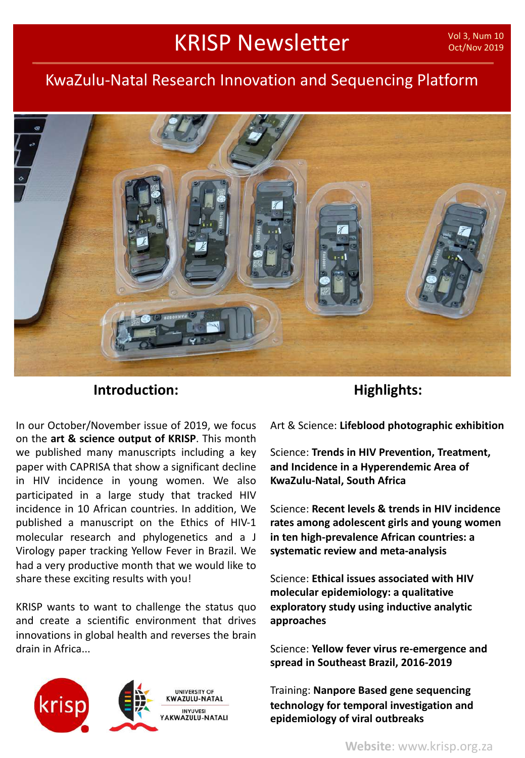# KRISP Newsletter

## KwaZulu-Natal Research Innovation and Sequencing Platform



## **Introduction:**

In our October/November issue of 2019, we focus on the **art & science output of KRISP**. This month we published many manuscripts including a key paper with CAPRISA that show a significant decline in HIV incidence in young women. We also participated in a large study that tracked HIV incidence in 10 African countries. In addition, We published a manuscript on the Ethics of HIV-1 molecular research and phylogenetics and a J Virology paper tracking Yellow Fever in Brazil. We had a very productive month that we would like to share these exciting results with you!

KRISP wants to want to challenge the status quo and create a scientific environment that drives innovations in global health and reverses the brain drain in Africa...



## **Highlights:**

Art & Science: **Lifeblood photographic exhibition**

Science: **Trends in HIV Prevention, Treatment, and Incidence in a Hyperendemic Area of KwaZulu-Natal, South Africa**

Science: **Recent levels & trends in HIV incidence rates among adolescent girls and young women in ten high-prevalence African countries: a systematic review and meta-analysis**

Science: **Ethical issues associated with HIV molecular epidemiology: a qualitative exploratory study using inductive analytic approaches**

Science: **Yellow fever virus re-emergence and spread in Southeast Brazil, 2016-2019**

Training: **Nanpore Based gene sequencing technology for temporal investigation and epidemiology of viral outbreaks**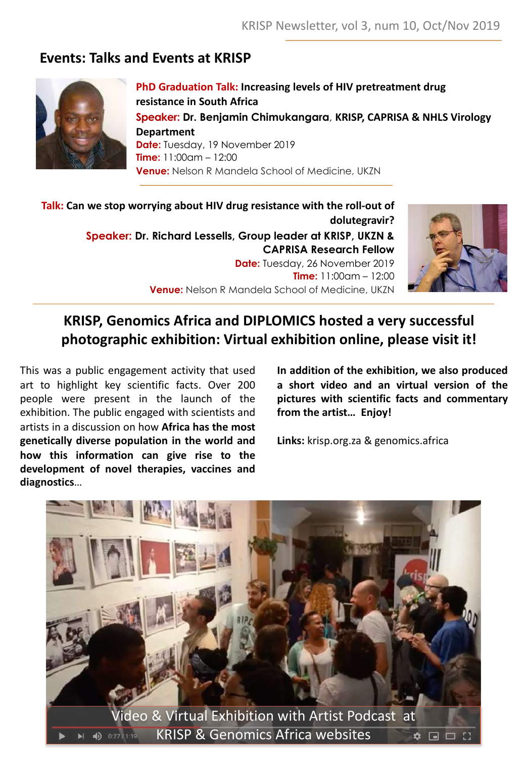## **Events: Talks and Events at KRISP**



**PhD Graduation Talk: Increasing levels of HIV pretreatment drug resistance in South Africa Speaker: Dr. Benjamin Chimukangara**, **KRISP, CAPRISA & NHLS Virology Department Date:** Tuesday, 19 November 2019 **Time:** 11:00am – 12:00 **Venue:** Nelson R Mandela School of Medicine, UKZN

**Talk: Can we stop worrying about HIV drug resistance with the roll-out of dolutegravir? Speaker: Dr. Richard Lessells, Group leader at KRISP, UKZN & CAPRISA Research Fellow Date:** Tuesday, 26 November 2019 **Time:** 11:00am – 12:00 **Venue:** Nelson R Mandela School of Medicine, UKZN



## **KRISP, Genomics Africa and DIPLOMICS hosted a very successful photographic exhibition: Virtual exhibition online, please visit it!**

This was a public engagement activity that used art to highlight key scientific facts. Over 200 people were present in the launch of the exhibition. The public engaged with scientists and artists in a discussion on how **Africa has the most genetically diverse population in the world and how this information can give rise to the development of novel therapies, vaccines and diagnostics**…

**In addition of the exhibition, we also produced a short video and an virtual version of the pictures with scientific facts and commentary from the artist… Enjoy!**

**Links:** krisp.org.za & genomics.africa

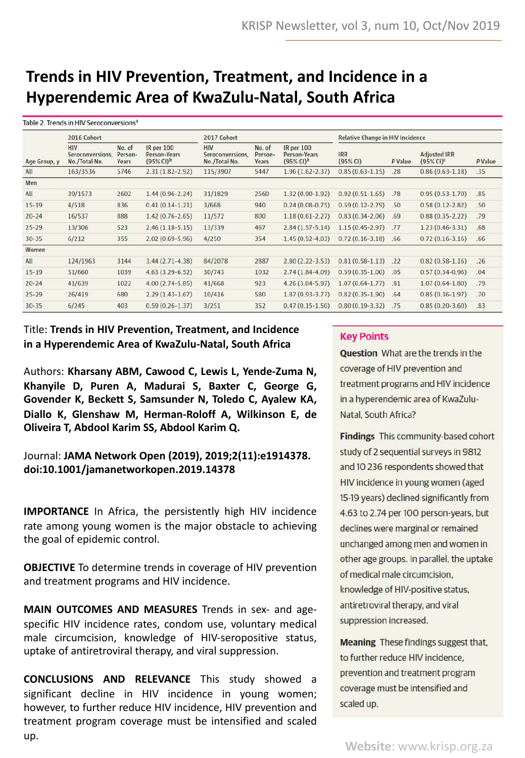# **Trends in HIV Prevention, Treatment, and Incidence in a Hyperendemic Area of KwaZulu-Natal, South Africa**

| Table 2. Trends in HIV Seroconversions" |                                                 |                            |                                                               |                                                 |                            |                                                            |                                         |         |                                     |         |
|-----------------------------------------|-------------------------------------------------|----------------------------|---------------------------------------------------------------|-------------------------------------------------|----------------------------|------------------------------------------------------------|-----------------------------------------|---------|-------------------------------------|---------|
| Age Group, y                            | 2016 Cohort                                     |                            |                                                               | 2017 Cohort                                     |                            |                                                            | <b>Relative Change in HIV Incidence</b> |         |                                     |         |
|                                         | <b>HIV</b><br>Seroconversions,<br>No./Total No. | No. of<br>Person-<br>Years | <b>IR</b> per 100<br>Person-Years<br>$(95\%$ CI) <sup>b</sup> | <b>HIV</b><br>Seroconversions,<br>No./Total No. | No. of<br>Person-<br>Years | <b>IR per 100</b><br>Person-Years<br>$(95\% \text{ Cl})^b$ | <b>IRR</b><br>(95% CI)                  | P Value | <b>Adjusted IRR</b><br>$(95% CI)^c$ | P Value |
| All                                     | 163/3536                                        | 5746                       | $2.31(1.82 - 2.92)$                                           | 115/3907                                        | 5447                       | $1.96(1.62 - 2.37)$                                        | $0.85(0.63 - 1.15)$                     | .28     | $0.86(0.63-1.18)$                   | .35     |
| Men                                     |                                                 |                            |                                                               |                                                 |                            |                                                            |                                         |         |                                     |         |
| All                                     | 39/1573                                         | 2602                       | $1.44(0.96 - 2.24)$                                           | 31/1829                                         | 2560                       | $1.32(0.90-1.92)$                                          | $0.92(0.51 - 1.65)$                     | .78     | $0.95(0.53 - 1.70)$                 | .85     |
| $15 - 19$                               | 4/518                                           | 836                        | $0.41(0.14-1.21)$                                             | 3/668                                           | 940                        | $0.24(0.08-0.75)$                                          | $0.59(0.12 - 2.79)$                     | .50     | $0.58(0.12 - 2.82)$                 | .50     |
| $20 - 24$                               | 16/537                                          | 888                        | $1.42(0.76 - 2.65)$                                           | 11/572                                          | 800                        | $1.18(0.61 - 2.27)$                                        | $0.83(0.34 - 2.06)$                     | .69     | $0.88(0.35 - 2.22)$                 | .79     |
| $25 - 29$                               | 13/306                                          | 523                        | $2.46(1.18-5.15)$                                             | 13/339                                          | 467                        | $2.84(1.57-5.14)$                                          | $1.15(0.45 - 2.97)$                     | .77     | $1.23(0.46-3.31)$                   | .68     |
| $30 - 35$                               | 6/212                                           | 355                        | $2.02(0.69 - 5.96)$                                           | 4/250                                           | 354                        | $1.45(0.52 - 4.03)$                                        | $0.72(0.16-3.18)$                       | .66     | $0.72(0.16-3.16)$                   | .66     |
| Women                                   |                                                 |                            |                                                               |                                                 |                            |                                                            |                                         |         |                                     |         |
| All                                     | 124/1963                                        | 3144                       | $3.44(2.71-4.38)$                                             | 84/2078                                         | 2887                       | $2.80(2.22 - 3.53)$                                        | $0.81(0.58-1.13)$                       | .22     | $0.82(0.58-1.16)$                   | .26     |
| $15 - 19$                               | 51/660                                          | 1039                       | $4.63(3.29-6.52)$                                             | 30/743                                          | 1032                       | $2.74(1.84-4.09)$                                          | $0.59(0.35 - 1.00)$                     | .05     | $0.57(0.34-0.96)$                   | .04     |
| $20 - 24$                               | 41/639                                          | 1022                       | $4.00(2.74-5.85)$                                             | 41/668                                          | 923                        | $4.26(3.04-5.97)$                                          | $1.07(0.64 - 1.77)$                     | .81     | $1.07(0.64 - 1.80)$                 | .79     |
| $25 - 29$                               | 26/419                                          | 680                        | $2.29(1.43-3.67)$                                             | 10/416                                          | 580                        | $1.87(0.93 - 3.77)$                                        | $0.82(0.35 - 1.90)$                     | .64     | $0.85(0.36 - 1.97)$                 | .70     |
| $30 - 35$                               | 6/245                                           | 403                        | $0.59(0.26 - 1.37)$                                           | 3/251                                           | 352                        | $0.47(0.15-1.50)$                                          | $0.80(0.19-3.32)$                       | .75     | $0.85(0.20-3.60)$                   | .83     |

### Title: **Trends in HIV Prevention, Treatment, and Incidence in a Hyperendemic Area of KwaZulu-Natal, South Africa**

Authors: **Kharsany ABM, Cawood C, Lewis L, Yende-Zuma N, Khanyile D, Puren A, Madurai S, Baxter C, George G, Govender K, Beckett S, Samsunder N, Toledo C, Ayalew KA, Diallo K, Glenshaw M, Herman-Roloff A, Wilkinson E, de Oliveira T, Abdool Karim SS, Abdool Karim Q.**

#### Journal: **JAMA Network Open (2019), 2019;2(11):e1914378. doi:10.1001/jamanetworkopen.2019.14378**

**IMPORTANCE** In Africa, the persistently high HIV incidence rate among young women is the major obstacle to achieving the goal of epidemic control.

**OBJECTIVE** To determine trends in coverage of HIV prevention and treatment programs and HIV incidence.

**MAIN OUTCOMES AND MEASURES** Trends in sex- and agespecific HIV incidence rates, condom use, voluntary medical male circumcision, knowledge of HIV-seropositive status, uptake of antiretroviral therapy, and viral suppression.

**CONCLUSIONS AND RELEVANCE** This study showed a significant decline in HIV incidence in young women; however, to further reduce HIV incidence, HIV prevention and treatment program coverage must be intensified and scaled up.

### **Key Points**

**Question** What are the trends in the coverage of HIV prevention and treatment programs and HIV incidence in a hyperendemic area of KwaZulu-Natal, South Africa?

Findings This community-based cohort study of 2 sequential surveys in 9812 and 10 236 respondents showed that HIV incidence in young women (aged 15-19 years) declined significantly from 4.63 to 2.74 per 100 person-years, but declines were marginal or remained unchanged among men and women in other age groups. In parallel, the uptake of medical male circumcision, knowledge of HIV-positive status, antiretroviral therapy, and viral suppression increased.

**Meaning** These findings suggest that, to further reduce HIV incidence, prevention and treatment program coverage must be intensified and scaled up.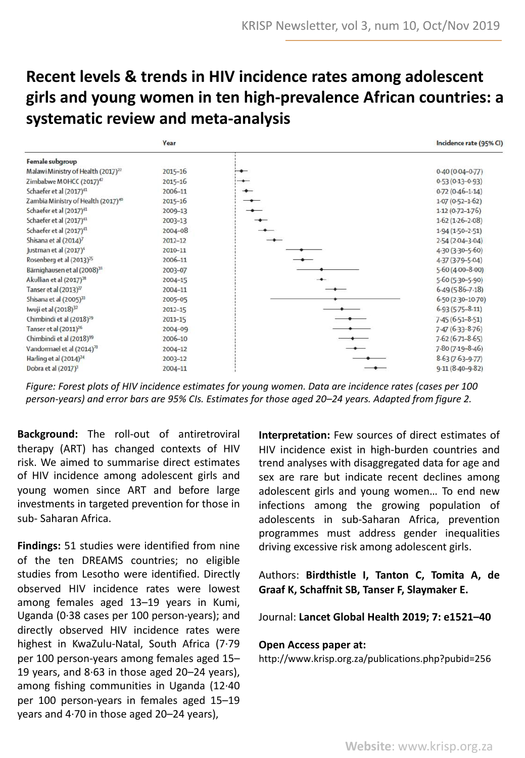## **Recent levels & trends in HIV incidence rates among adolescent girls and young women in ten high-prevalence African countries: a systematic review and meta-analysis**



*Figure: Forest plots of HIV incidence estimates for young women. Data are incidence rates (cases per 100 person-years) and error bars are 95% CIs. Estimates for those aged 20–24 years. Adapted from figure 2.*

**Background:** The roll-out of antiretroviral therapy (ART) has changed contexts of HIV risk. We aimed to summarise direct estimates of HIV incidence among adolescent girls and young women since ART and before large investments in targeted prevention for those in sub- Saharan Africa.

**Findings:** 51 studies were identified from nine of the ten DREAMS countries; no eligible studies from Lesotho were identified. Directly observed HIV incidence rates were lowest among females aged 13–19 years in Kumi, Uganda (0·38 cases per 100 person-years); and directly observed HIV incidence rates were highest in KwaZulu-Natal, South Africa (7·79 per 100 person-years among females aged 15– 19 years, and 8·63 in those aged 20–24 years), among fishing communities in Uganda (12·40 per 100 person-years in females aged 15–19 years and 4·70 in those aged 20–24 years),

**Interpretation:** Few sources of direct estimates of HIV incidence exist in high-burden countries and trend analyses with disaggregated data for age and sex are rare but indicate recent declines among adolescent girls and young women… To end new infections among the growing population of adolescents in sub-Saharan Africa, prevention programmes must address gender inequalities driving excessive risk among adolescent girls.

Authors: **Birdthistle I, Tanton C, Tomita A, de Graaf K, Schaffnit SB, Tanser F, Slaymaker E.**

Journal: **Lancet Global Health 2019; 7: e1521–40**

#### **Open Access paper at:**

http://www.krisp.org.za/publications.php?pubid=256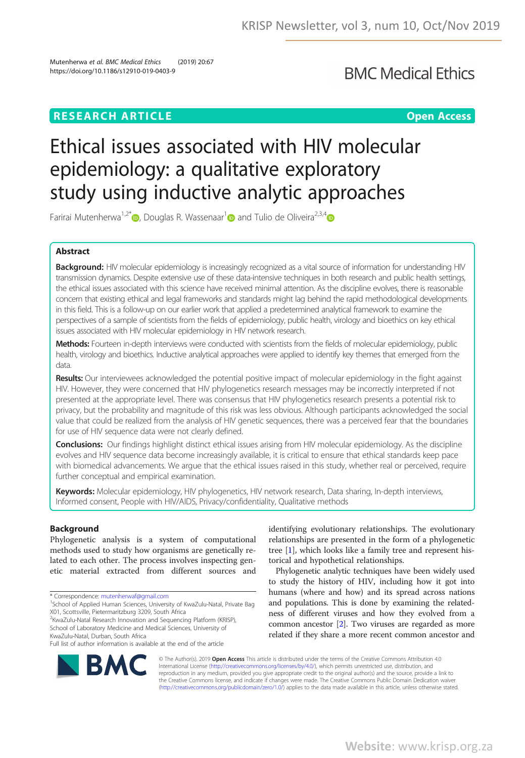### **RESEARCH ARTICLE Example 2018 12:30 The Contract of Contract ARTICLE CONTRACT OF CONTRACT OPEN Access**

**BMC Medical Ethics** 

# Ethical issues associated with HIV molecular epidemiology: a qualitative exploratory study using inductive analytic approaches

Farirai Mutenherwa<sup>1,2\*</sup> <sub>D</sub>, Douglas R. Wassenaar<sup>1</sup> and Tulio de Oliveira<sup>2,3,4</sup> D

#### Abstract

**Background:** HIV molecular epidemiology is increasingly recognized as a vital source of information for understanding HIV transmission dynamics. Despite extensive use of these data-intensive techniques in both research and public health settings, the ethical issues associated with this science have received minimal attention. As the discipline evolves, there is reasonable concern that existing ethical and legal frameworks and standards might lag behind the rapid methodological developments in this field. This is a follow-up on our earlier work that applied a predetermined analytical framework to examine the perspectives of a sample of scientists from the fields of epidemiology, public health, virology and bioethics on key ethical issues associated with HIV molecular epidemiology in HIV network research.

Methods: Fourteen in-depth interviews were conducted with scientists from the fields of molecular epidemiology, public health, virology and bioethics. Inductive analytical approaches were applied to identify key themes that emerged from the data.

Results: Our interviewees acknowledged the potential positive impact of molecular epidemiology in the fight against HIV. However, they were concerned that HIV phylogenetics research messages may be incorrectly interpreted if not presented at the appropriate level. There was consensus that HIV phylogenetics research presents a potential risk to privacy, but the probability and magnitude of this risk was less obvious. Although participants acknowledged the social value that could be realized from the analysis of HIV genetic sequences, there was a perceived fear that the boundaries for use of HIV sequence data were not clearly defined.

Conclusions: Our findings highlight distinct ethical issues arising from HIV molecular epidemiology. As the discipline evolves and HIV sequence data become increasingly available, it is critical to ensure that ethical standards keep pace with biomedical advancements. We argue that the ethical issues raised in this study, whether real or perceived, require further conceptual and empirical examination.

Keywords: Molecular epidemiology, HIV phylogenetics, HIV network research, Data sharing, In-depth interviews, Informed consent, People with HIV/AIDS, Privacy/confidentiality, Qualitative methods

#### Background

Phylogenetic analysis is a system of computational methods used to study how organisms are genetically related to each other. The process involves inspecting genetic material extracted from different sources and

<sup>1</sup>School of Applied Human Sciences, University of KwaZulu-Natal, Private Bag X01, Scottsville, Pietermaritzburg 3209, South Africa

2 KwaZulu-Natal Research Innovation and Sequencing Platform (KRISP), School of Laboratory Medicine and Medical Sciences, University of KwaZulu-Natal, Durban, South Africa

Full list of author information is available at the end of the article



identifying evolutionary relationships. The evolutionary relationships are presented in the form of a phylogenetic tree  $[1]$ , which looks like a family tree and represent historical and hypothetical relationships.

Phylogenetic analytic techniques have been widely used to study the history of HIV, including how it got into humans (where and how) and its spread across nations and populations. This is done by examining the relatedness of different viruses and how they evolved from a common ancestor [2]. Two viruses are regarded as more related if they share a more recent common ancestor and

© The Author(s). 2019 Open Access This article is distributed under the terms of the Creative Commons Attribution 4.0 International License (http://creativecommons.org/licenses/by/4.0/), which permits unrestricted use, distribution, and reproduction in any medium, provided you give appropriate credit to the original author(s) and the source, provide a link to the Creative Commons license, and indicate if changes were made. The Creative Commons Public Domain Dedication waiver (http://creativecommons.org/publicdomain/zero/1.0/) applies to the data made available in this article, unless otherwise stated.

<sup>\*</sup> Correspondence: mutenherwaf@gmail.com <sup>1</sup>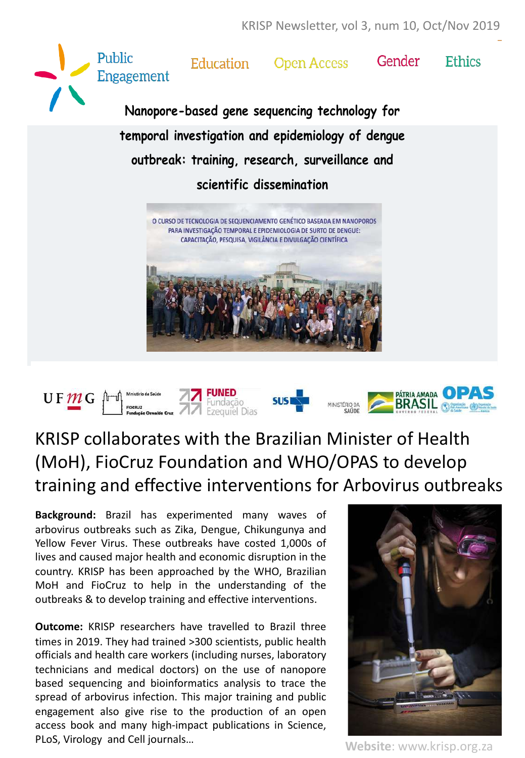



# KRISP collaborates with the Brazilian Minister of Health (MoH), FioCruz Foundation and WHO/OPAS to develop training and effective interventions for Arbovirus outbreaks

**Background:** Brazil has experimented many waves of arbovirus outbreaks such as Zika, Dengue, Chikungunya and Yellow Fever Virus. These outbreaks have costed 1,000s of lives and caused major health and economic disruption in the country. KRISP has been approached by the WHO, Brazilian MoH and FioCruz to help in the understanding of the outbreaks & to develop training and effective interventions.

**Outcome:** KRISP researchers have travelled to Brazil three times in 2019. They had trained >300 scientists, public health officials and health care workers (including nurses, laboratory technicians and medical doctors) on the use of nanopore based sequencing and bioinformatics analysis to trace the spread of arbovirus infection. This major training and public engagement also give rise to the production of an open access book and many high-impact publications in Science, PLoS, Virology and Cell journals…



**Website**: www.krisp.org.za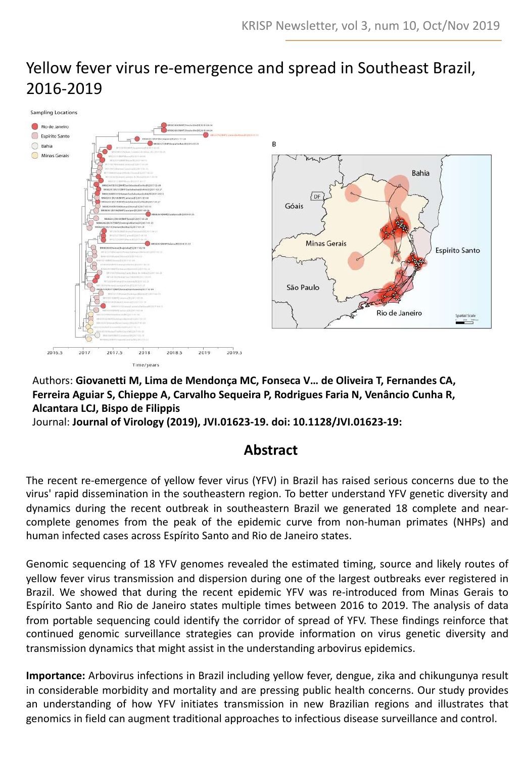## Yellow fever virus re-emergence and spread in Southeast Brazil, 2016-2019



Authors: **Giovanetti M, Lima de Mendonça MC, Fonseca V… de Oliveira T, Fernandes CA, Ferreira Aguiar S, Chieppe A, Carvalho Sequeira P, Rodrigues Faria N, Venâncio Cunha R, Alcantara LCJ, Bispo de Filippis**

Journal: **Journal of Virology (2019), JVI.01623-19. doi: 10.1128/JVI.01623-19:**

### **Abstract**

The recent re-emergence of yellow fever virus (YFV) in Brazil has raised serious concerns due to the virus' rapid dissemination in the southeastern region. To better understand YFV genetic diversity and dynamics during the recent outbreak in southeastern Brazil we generated 18 complete and nearcomplete genomes from the peak of the epidemic curve from non-human primates (NHPs) and human infected cases across Espírito Santo and Rio de Janeiro states.

Genomic sequencing of 18 YFV genomes revealed the estimated timing, source and likely routes of yellow fever virus transmission and dispersion during one of the largest outbreaks ever registered in Brazil. We showed that during the recent epidemic YFV was re-introduced from Minas Gerais to Espírito Santo and Rio de Janeiro states multiple times between 2016 to 2019. The analysis of data from portable sequencing could identify the corridor of spread of YFV. These findings reinforce that continued genomic surveillance strategies can provide information on virus genetic diversity and transmission dynamics that might assist in the understanding arbovirus epidemics.

**Importance:** Arbovirus infections in Brazil including yellow fever, dengue, zika and chikungunya result in considerable morbidity and mortality and are pressing public health concerns. Our study provides an understanding of how YFV initiates transmission in new Brazilian regions and illustrates that genomics in field can augment traditional approaches to infectious disease surveillance and control.